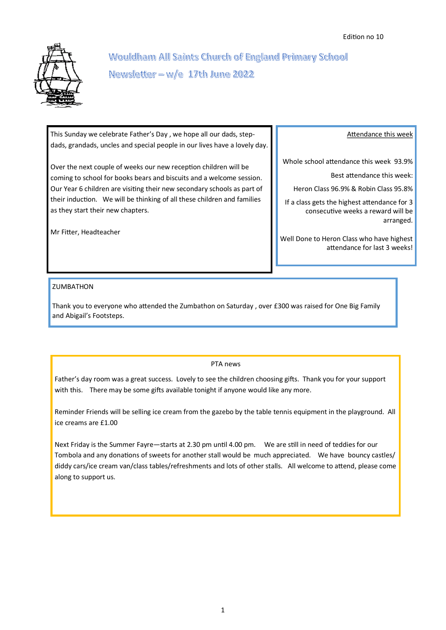

# Wouldham All Saints Church of England Primary School Newsletter -  $w/e$  17th June 2022

This Sunday we celebrate Father's Day , we hope all our dads, stepdads, grandads, uncles and special people in our lives have a lovely day.

Over the next couple of weeks our new reception children will be coming to school for books bears and biscuits and a welcome session. Our Year 6 children are visiting their new secondary schools as part of their induction. We will be thinking of all these children and families as they start their new chapters.

Mr Fitter, Headteacher

### Attendance this week

Whole school attendance this week 93.9%

Best attendance this week:

Heron Class 96.9% & Robin Class 95.8%

If a class gets the highest attendance for 3 consecutive weeks a reward will be arranged.

Well Done to Heron Class who have highest attendance for last 3 weeks!

## ZUMBATHON

Thank you to everyone who attended the Zumbathon on Saturday , over £300 was raised for One Big Family and Abigail's Footsteps.

PTA news

Father's day room was a great success. Lovely to see the children choosing gifts. Thank you for your support with this. There may be some gifts available tonight if anyone would like any more.

Reminder Friends will be selling ice cream from the gazebo by the table tennis equipment in the playground. All ice creams are £1.00

Next Friday is the Summer Fayre—starts at 2.30 pm until 4.00 pm. We are still in need of teddies for our Tombola and any donations of sweets for another stall would be much appreciated. We have bouncy castles/ diddy cars/ice cream van/class tables/refreshments and lots of other stalls. All welcome to attend, please come along to support us.